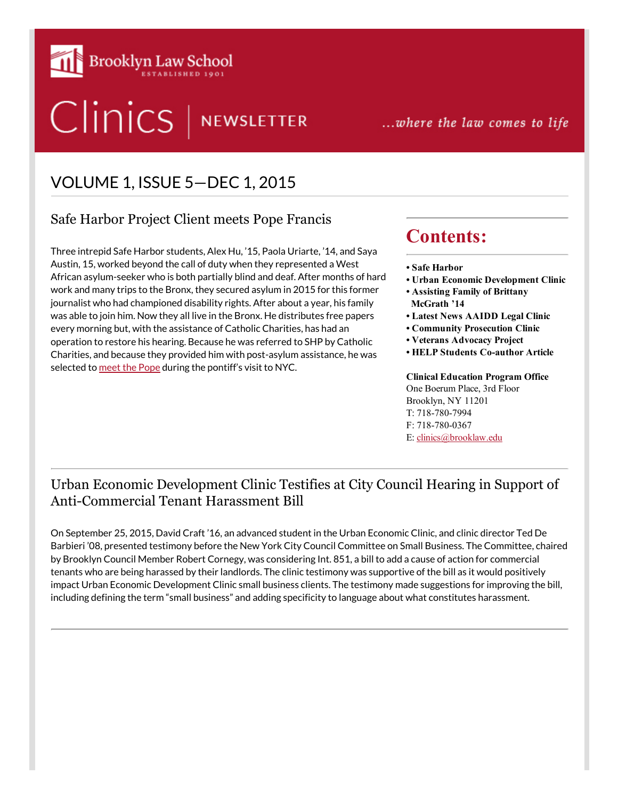

# Clinics | NEWSLETTER

...where the law comes to life

## VOLUME 1, ISSUE 5—DEC 1, 2015

#### Safe Harbor Project Client meets Pope Francis

Three intrepid Safe Harbor students, Alex Hu, '15, Paola Uriarte, '14, and Saya Austin, 15, worked beyond the call of duty when they represented a West African asylum-seeker who is both partially blind and deaf. After months of hard work and many trips to the Bronx, they secured asylum in 2015 for this former journalist who had championed disability rights. After about a year, his family was able to join him. Now they all live in the Bronx. He distributes free papers every morning but, with the assistance of Catholic Charities, has had an operation to restore his hearing. Because he was referred to SHP by Catholic Charities, and because they provided him with post-asylum assistance, he was selected to [meet the Pope](http://abc7ny.com/religion/blind-muslim-activist-among-the-few-set-to-meet-with-pope-francis/996616/) during the pontiff's visit to NYC.

## Contents:

- Safe Harbor
- Urban Economic Development Clinic
- Assisting Family of Brittany McGrath '14
- Latest News AAIDD Legal Clinic
- Community Prosecution Clinic
- Veterans Advocacy Project
- HELP Students Co-author Article

#### Clinical Education Program Office One Boerum Place, 3rd Floor Brooklyn, NY 11201 T: 718-780-7994 F: 718-780-0367 E: [clinics@brooklaw.edu](mailto:clinics@brooklaw.edu)

### Urban Economic Development Clinic Testifies at City Council Hearing in Support of Anti-Commercial Tenant Harassment Bill

On September 25, 2015, David Craft '16, an advanced student in the Urban Economic Clinic, and clinic director Ted De Barbieri '08, presented testimony before the New York City Council Committee on Small Business. The Committee, chaired by Brooklyn Council Member Robert Cornegy, was considering Int. 851, a bill to add a cause of action for commercial tenants who are being harassed by their landlords. The clinic testimony was supportive of the bill as it would positively impact Urban Economic Development Clinic small business clients. The testimony made suggestions for improving the bill, including defining the term "small business" and adding specificity to language about what constitutes harassment.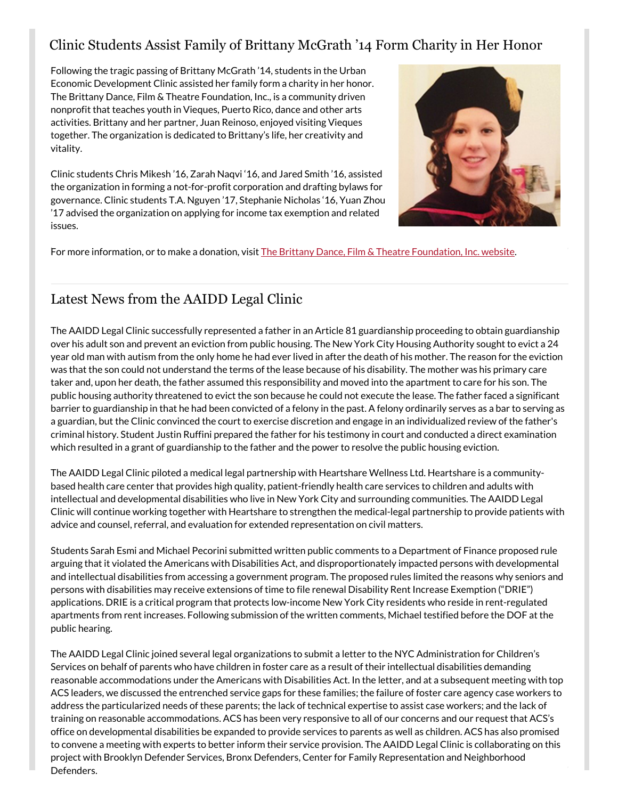#### Clinic Students Assist Family of Brittany McGrath '14 Form Charity in Her Honor

Following the tragic passing of Brittany McGrath '14, students in the Urban Economic Development Clinic assisted her family form a charity in her honor. The Brittany Dance, Film & Theatre Foundation, Inc., is a community driven nonprofit that teaches youth in Vieques, Puerto Rico, dance and other arts activities. Brittany and her partner, Juan Reinoso, enjoyed visiting Vieques together. The organization is dedicated to Brittany's life, her creativity and vitality.

Clinic students Chris Mikesh '16, Zarah Naqvi '16, and Jared Smith '16, assisted the organization in forming a not-for-profit corporation and drafting bylaws for governance. Clinic students T.A. Nguyen '17, Stephanie Nicholas '16, Yuan Zhou '17 advised the organization on applying for inco[me tax exemption and related](http://www.thebrittanydftfoundation.org/) issues.



For more information, or to make a donation, visit The Brittany Dance, Film & Theatre Foundation, Inc. website.

#### Latest News from the AAIDD Legal Clinic

The AAIDD Legal Clinic successfully represented a father in an Article 81 guardianship proceeding to obtain guardianship over his adult son and prevent an eviction from public housing. The New York City Housing Authority sought to evict a 24 year old man with autism from the only home he had ever lived in after the death of his mother. The reason for the eviction was that the son could not understand the terms of the lease because of his disability. The mother was his primary care taker and, upon her death, the father assumed this responsibility and moved into the apartment to care for his son. The public housing authority threatened to evict the son because he could not execute the lease. The father faced a significant barrier to guardianship in that he had been convicted of a felony in the past. A felony ordinarily serves as a bar to serving as a guardian, but the Clinic convinced the court to exercise discretion and engage in an individualized review of the father's criminal history. Student Justin Ruffini prepared the father for his testimony in court and conducted a direct examination which resulted in a grant of guardianship to the father and the power to resolve the public housing eviction.

The AAIDD Legal Clinic piloted a medical legal partnership with Heartshare Wellness Ltd. Heartshare is a communitybased health care center that provides high quality, patient-friendly health care services to children and adults with intellectual and developmental disabilities who live in New York City and surrounding communities. The AAIDD Legal Clinic will continue working together with Heartshare to strengthen the medical-legal partnership to provide patients with advice and counsel, referral, and evaluation for extended representation on civil matters.

Students Sarah Esmi and Michael Pecorini submitted written public comments to a Department of Finance proposed rule arguing that it violated the Americans with Disabilities Act, and disproportionately impacted persons with developmental and intellectual disabilities from accessing a government program. The proposed rules limited the reasons why seniors and persons with disabilities may receive extensions of time to file renewal Disability Rent Increase Exemption ("DRIE") applications. DRIE is a critical program that protects low-income New York City residents who reside in rent-regulated apartments from rent increases. Following submission of the written comments, Michael testified before the DOF at the public hearing.

The AAIDD Legal Clinic joined several legal organizations to submit a letter to the NYC Administration for Children's Services on behalf of parents who have children in foster care as a result of their intellectual disabilities demanding reasonable accommodations under the Americans with Disabilities Act. In the letter, and at a subsequent meeting with top ACS leaders, we discussed the entrenched service gaps for these families; the failure of foster care agency case workers to address the particularized needs of these parents; the lack of technical expertise to assist case workers; and the lack of training on reasonable accommodations. ACS has been very responsive to all of our concerns and our request that ACS's office on developmental disabilities be expanded to provide services to parents as well as children. ACS has also promised to convene a meeting with experts to better inform their service provision. The AAIDD Legal Clinic is collaborating on this project with Brooklyn Defender Services, Bronx Defenders, Center for Family Representation and Neighborhood Defenders.